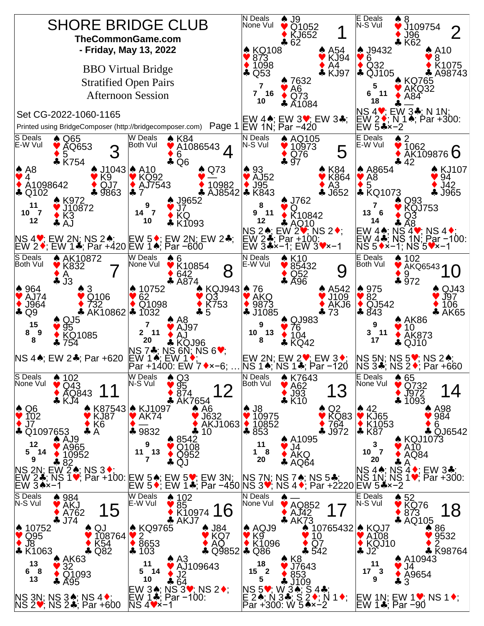